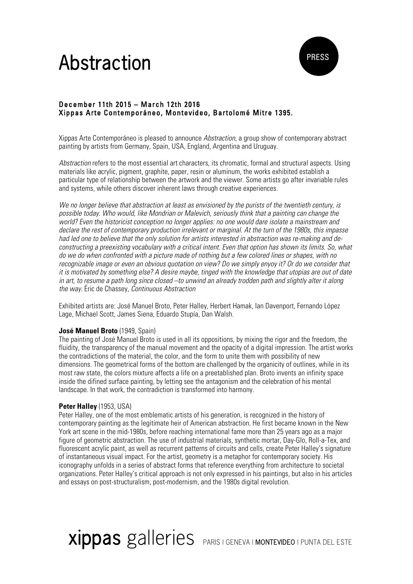# **Abstraction**



# December 11th 2015 – March 12th 2016 Xippas Arte Contemporáneo, Montevideo, Bartolomé Mitre 1395.

Xippas Arte Contemporáneo is pleased to announce *Abstraction*, a group show of contemporary abstract painting by artists from Germany, Spain, USA, England, Argentina and Uruguay.

*Abstraction* refers to the most essential art characters, its chromatic, formal and structural aspects. Using materials like acrylic, pigment, graphite, paper, resin or aluminum, the works exhibited establish a particular type of relationship between the artwork and the viewer. Some artists go after invariable rules and systems, while others discover inherent laws through creative experiences.

*We no longer believe that abstraction at least as envisioned by the purists of the twentieth century, is possible today. Who would, like Mondrian or Malevich, seriously think that a painting can change the world? Even the historicist conception no longer applies: no one would dare isolate a mainstream and declare the rest of contemporary production irrelevant or marginal. At the turn of the 1980s, this impasse had led one to believe that the only solution for artists interested in abstraction was re-making and deconstructing a preexisting vocabulary with a critical intent. Even that option has shown its limits. So, what do we do when confronted with a picture made of nothing but a few colored lines or shapes, with no recognizable image or even an obvious quotation on view? Do we simply enyoy it? Or do we consider that it is motivated by something else? A desire maybe, tinged with the knowledge that utopias are out of date in art, to resume a path long since closed –to unwind an already trodden path and slightly alter it along the way.* Éric de Chassey, *Continuous Abstraction*

Exhibited artists are: José Manuel Broto, Peter Halley, Herbert Hamak, Ian Davenport, Fernando López Lage, Michael Scott, James Siena, Eduardo Stupía, Dan Walsh.

### **José Manuel Broto** (1949, Spain)

The painting of José Manuel Broto is used in all its oppositions, by mixing the rigor and the freedom, the fluidity, the transparency of the manual movement and the opacity of a digital impression. The artist works the contradictions of the material, the color, and the form to unite them with possibility of new dimensions. The geometrical forms of the bottom are challenged by the organicity of outlines, while in its most raw state, the colors mixture affects a life on a preetablished plan. Broto invents an infinity space inside the difined surface painting, by letting see the antagonism and the celebration of his mental landscape. In that work, the contradiction is transformed into harmony.

#### **Peter Halley** (1953, USA)

Peter Halley, one of the most emblematic artists of his generation, is recognized in the history of contemporary painting as the legitimate heir of American abstraction. He first became known in the New York art scene in the mid-1980s, before reaching international fame more than 25 years ago as a major figure of geometric abstraction. The use of industrial materials, synthetic mortar, Day-Glo, Roll-a-Tex, and fluorescent acrylic paint, as well as recurrent patterns of circuits and cells, create Peter Halley's signature of instantaneous visual impact. For the artist, geometry is a metaphor for contemporary society. His iconography unfolds in a series of abstract forms that reference everything from architecture to societal organizations. Peter Halley's critical approach is not only expressed in his paintings, but also in his articles and essays on post-structuralism, post-modernism, and the 1980s digital revolution.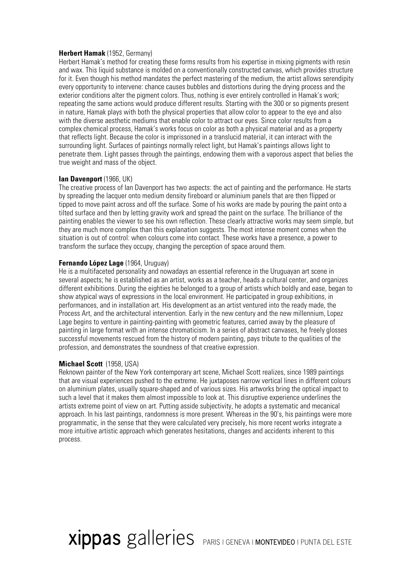#### **Herbert Hamak** (1952, Germany)

Herbert Hamak's method for creating these forms results from his expertise in mixing pigments with resin and wax. This liquid substance is molded on a conventionally constructed canvas, which provides structure for it. Even though his method mandates the perfect mastering of the medium, the artist allows serendipity every opportunity to intervene: chance causes bubbles and distortions during the drying process and the exterior conditions alter the pigment colors. Thus, nothing is ever entirely controlled in Hamak's work; repeating the same actions would produce different results. Starting with the 300 or so pigments present in nature, Hamak plays with both the physical properties that allow color to appear to the eye and also with the diverse aesthetic mediums that enable color to attract our eyes. Since color results from a complex chemical process, Hamak's works focus on color as both a physical material and as a property that reflects light. Because the color is imprissoned in a translucid material, it can interact with the surrounding light. Surfaces of paintings normally relect light, but Hamak's paintings allows light to penetrate them. Light passes through the paintings, endowing them with a vaporous aspect that belies the true weight and mass of the object.

#### **Ian Davenport** (1966, UK)

The creative process of Ian Davenport has two aspects: the act of painting and the performance. He starts by spreading the lacquer onto medium density fireboard or aluminium panels that are then flipped or tipped to move paint across and off the surface. Some of his works are made by pouring the paint onto a tilted surface and then by letting gravity work and spread the paint on the surface. The brilliance of the painting enables the viewer to see his own reflection. These clearly attractive works may seem simple, but they are much more complex than this explanation suggests. The most intense moment comes when the situation is out of control: when colours come into contact. These works have a presence, a power to transform the surface they occupy, changing the perception of space around them.

#### **Fernando López Lage (1964, Uruguay)**

He is a multifaceted personality and nowadays an essential reference in the Uruguayan art scene in several aspects; he is established as an artist, works as a teacher, heads a cultural center, and organizes different exhibitions. During the eighties he belonged to a group of artists which boldly and ease, began to show atypical ways of expressions in the local environment. He participated in group exhibitions, in performances, and in installation art. His development as an artist ventured into the ready made, the Process Art, and the architectural intervention. Early in the new century and the new millennium, Lopez Lage begins to venture in painting-painting with geometric features, carried away by the pleasure of painting in large format with an intense chromaticism. In a series of abstract canvases, he freely glosses successful movements rescued from the history of modern painting, pays tribute to the qualities of the profession, and demonstrates the soundness of that creative expression.

#### **Michael Scott** (1958, USA)

Reknown painter of the New York contemporary art scene, Michael Scott realizes, since 1989 paintings that are visual experiences pushed to the extreme. He juxtaposes narrow vertical lines in different colours on aluminium plates, usually square-shaped and of various sizes. His artworks bring the optical impact to such a level that it makes them almost impossible to look at. This disruptive experience underlines the artists extreme point of view on art. Putting asside subjectivity, he adopts a systematic and mecanical approach. In his last paintings, randomness is more present. Whereas in the 90's, his paintings were more programmatic, in the sense that they were calculated very precisely, his more recent works integrate a more intuitive artistic approach which generates hesitations, changes and accidents inherent to this process.